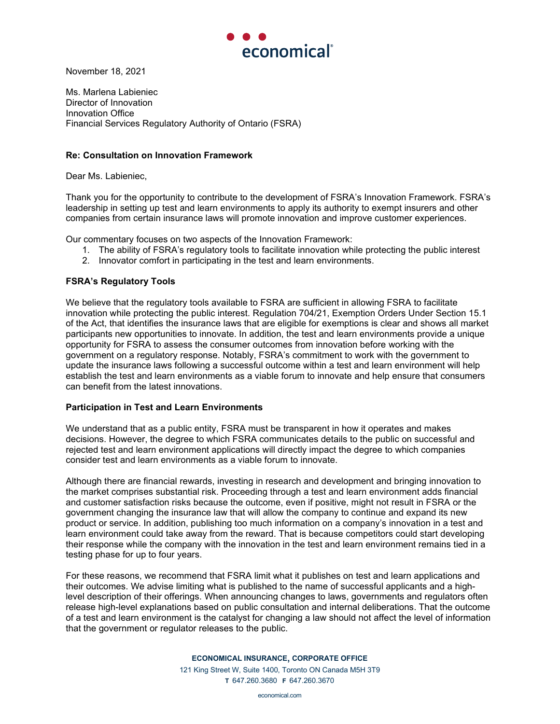

November 18, 2021

Ms. Marlena Labieniec Director of Innovation Innovation Office Financial Services Regulatory Authority of Ontario (FSRA)

## **Re: Consultation on Innovation Framework**

Dear Ms. Labieniec,

Thank you for the opportunity to contribute to the development of FSRA's Innovation Framework. FSRA's leadership in setting up test and learn environments to apply its authority to exempt insurers and other companies from certain insurance laws will promote innovation and improve customer experiences.

Our commentary focuses on two aspects of the Innovation Framework:

- 1. The ability of FSRA's regulatory tools to facilitate innovation while protecting the public interest
- 2. Innovator comfort in participating in the test and learn environments.

## **FSRA's Regulatory Tools**

We believe that the regulatory tools available to FSRA are sufficient in allowing FSRA to facilitate innovation while protecting the public interest. Regulation 704/21, Exemption Orders Under Section 15.1 of the Act, that identifies the insurance laws that are eligible for exemptions is clear and shows all market participants new opportunities to innovate. In addition, the test and learn environments provide a unique opportunity for FSRA to assess the consumer outcomes from innovation before working with the government on a regulatory response. Notably, FSRA's commitment to work with the government to update the insurance laws following a successful outcome within a test and learn environment will help establish the test and learn environments as a viable forum to innovate and help ensure that consumers can benefit from the latest innovations.

## **Participation in Test and Learn Environments**

We understand that as a public entity, FSRA must be transparent in how it operates and makes decisions. However, the degree to which FSRA communicates details to the public on successful and rejected test and learn environment applications will directly impact the degree to which companies consider test and learn environments as a viable forum to innovate.

Although there are financial rewards, investing in research and development and bringing innovation to the market comprises substantial risk. Proceeding through a test and learn environment adds financial and customer satisfaction risks because the outcome, even if positive, might not result in FSRA or the government changing the insurance law that will allow the company to continue and expand its new product or service. In addition, publishing too much information on a company's innovation in a test and learn environment could take away from the reward. That is because competitors could start developing their response while the company with the innovation in the test and learn environment remains tied in a testing phase for up to four years.

For these reasons, we recommend that FSRA limit what it publishes on test and learn applications and their outcomes. We advise limiting what is published to the name of successful applicants and a highlevel description of their offerings. When announcing changes to laws, governments and regulators often release high-level explanations based on public consultation and internal deliberations. That the outcome of a test and learn environment is the catalyst for changing a law should not affect the level of information that the government or regulator releases to the public.

## **ECONOMICAL INSURANCE, CORPORATE OFFICE**

121 King Street W, Suite 1400, Toronto ON Canada M5H 3T9 **T** 647.260.3680 **F** 647.260.3670